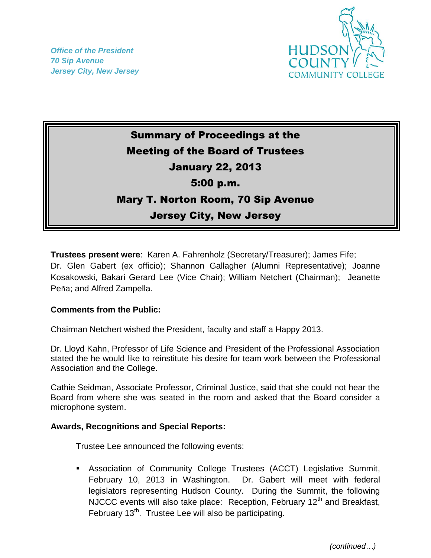*Office of the President 70 Sip Avenue Jersey City, New Jersey*



# Summary of Proceedings at the Meeting of the Board of Trustees January 22, 2013 5:00 p.m. Mary T. Norton Room, 70 Sip Avenue Jersey City, New Jersey

**Trustees present were**: Karen A. Fahrenholz (Secretary/Treasurer); James Fife; Dr. Glen Gabert (ex officio); Shannon Gallagher (Alumni Representative); Joanne Kosakowski, Bakari Gerard Lee (Vice Chair); William Netchert (Chairman); Jeanette Peña; and Alfred Zampella.

# **Comments from the Public:**

Chairman Netchert wished the President, faculty and staff a Happy 2013.

Dr. Lloyd Kahn, Professor of Life Science and President of the Professional Association stated the he would like to reinstitute his desire for team work between the Professional Association and the College.

Cathie Seidman, Associate Professor, Criminal Justice, said that she could not hear the Board from where she was seated in the room and asked that the Board consider a microphone system.

# **Awards, Recognitions and Special Reports:**

Trustee Lee announced the following events:

 Association of Community College Trustees (ACCT) Legislative Summit, February 10, 2013 in Washington. Dr. Gabert will meet with federal legislators representing Hudson County. During the Summit, the following NJCCC events will also take place: Reception, February  $12<sup>th</sup>$  and Breakfast, February 13<sup>th</sup>. Trustee Lee will also be participating.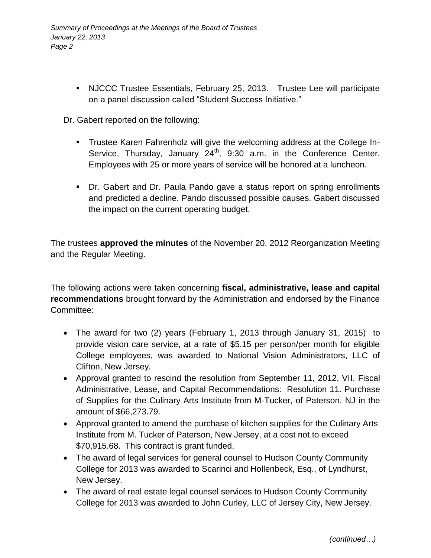NJCCC Trustee Essentials, February 25, 2013. Trustee Lee will participate on a panel discussion called "Student Success Initiative."

Dr. Gabert reported on the following:

- Trustee Karen Fahrenholz will give the welcoming address at the College In-Service, Thursday, January  $24<sup>th</sup>$ , 9:30 a.m. in the Conference Center. Employees with 25 or more years of service will be honored at a luncheon.
- Dr. Gabert and Dr. Paula Pando gave a status report on spring enrollments and predicted a decline. Pando discussed possible causes. Gabert discussed the impact on the current operating budget.

The trustees **approved the minutes** of the November 20, 2012 Reorganization Meeting and the Regular Meeting.

The following actions were taken concerning **fiscal, administrative, lease and capital recommendations** brought forward by the Administration and endorsed by the Finance Committee:

- The award for two (2) years (February 1, 2013 through January 31, 2015) to provide vision care service, at a rate of \$5.15 per person/per month for eligible College employees, was awarded to National Vision Administrators, LLC of Clifton, New Jersey.
- Approval granted to rescind the resolution from September 11, 2012, VII. Fiscal Administrative, Lease, and Capital Recommendations: Resolution 11. Purchase of Supplies for the Culinary Arts Institute from M-Tucker, of Paterson, NJ in the amount of \$66,273.79.
- Approval granted to amend the purchase of kitchen supplies for the Culinary Arts Institute from M. Tucker of Paterson, New Jersey, at a cost not to exceed \$70,915.68. This contract is grant funded.
- The award of legal services for general counsel to Hudson County Community College for 2013 was awarded to Scarinci and Hollenbeck, Esq., of Lyndhurst, New Jersey.
- The award of real estate legal counsel services to Hudson County Community College for 2013 was awarded to John Curley, LLC of Jersey City, New Jersey.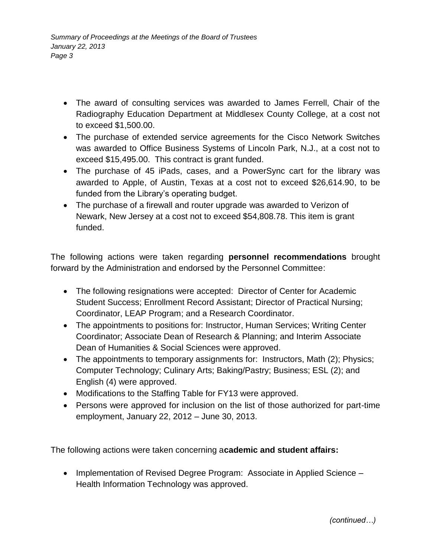- The award of consulting services was awarded to James Ferrell, Chair of the Radiography Education Department at Middlesex County College, at a cost not to exceed \$1,500.00.
- The purchase of extended service agreements for the Cisco Network Switches was awarded to Office Business Systems of Lincoln Park, N.J., at a cost not to exceed \$15,495.00. This contract is grant funded.
- The purchase of 45 iPads, cases, and a PowerSync cart for the library was awarded to Apple, of Austin, Texas at a cost not to exceed \$26,614.90, to be funded from the Library's operating budget.
- The purchase of a firewall and router upgrade was awarded to Verizon of Newark, New Jersey at a cost not to exceed \$54,808.78. This item is grant funded.

The following actions were taken regarding **personnel recommendations** brought forward by the Administration and endorsed by the Personnel Committee:

- The following resignations were accepted: Director of Center for Academic Student Success; Enrollment Record Assistant; Director of Practical Nursing; Coordinator, LEAP Program; and a Research Coordinator.
- The appointments to positions for: Instructor, Human Services; Writing Center Coordinator; Associate Dean of Research & Planning; and Interim Associate Dean of Humanities & Social Sciences were approved.
- The appointments to temporary assignments for: Instructors, Math (2); Physics; Computer Technology; Culinary Arts; Baking/Pastry; Business; ESL (2); and English (4) were approved.
- Modifications to the Staffing Table for FY13 were approved.
- Persons were approved for inclusion on the list of those authorized for part-time employment, January 22, 2012 – June 30, 2013.

The following actions were taken concerning a**cademic and student affairs:**

• Implementation of Revised Degree Program: Associate in Applied Science – Health Information Technology was approved.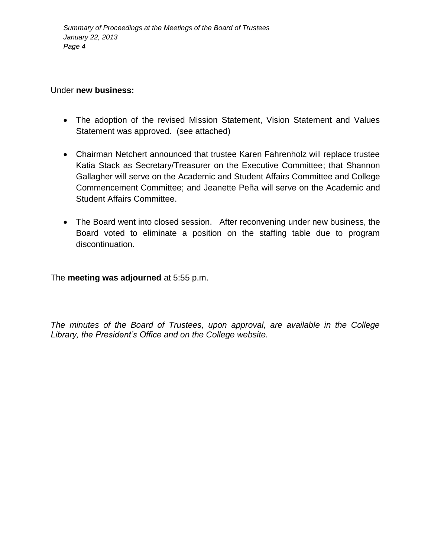# Under **new business:**

- The adoption of the revised Mission Statement, Vision Statement and Values Statement was approved. (see attached)
- Chairman Netchert announced that trustee Karen Fahrenholz will replace trustee Katia Stack as Secretary/Treasurer on the Executive Committee; that Shannon Gallagher will serve on the Academic and Student Affairs Committee and College Commencement Committee; and Jeanette Peña will serve on the Academic and Student Affairs Committee.
- The Board went into closed session. After reconvening under new business, the Board voted to eliminate a position on the staffing table due to program discontinuation.

The **meeting was adjourned** at 5:55 p.m.

*The minutes of the Board of Trustees, upon approval, are available in the College Library, the President's Office and on the College website.*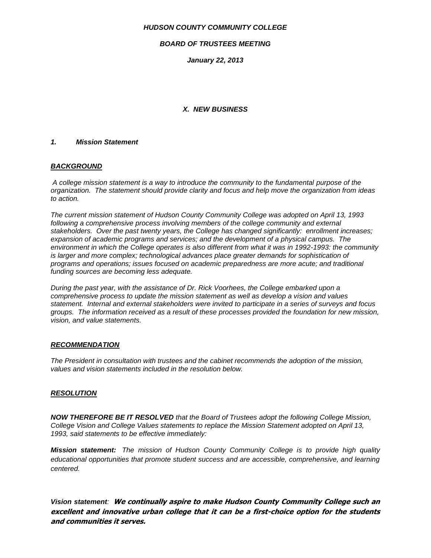## *HUDSON COUNTY COMMUNITY COLLEGE*

## *BOARD OF TRUSTEES MEETING*

*January 22, 2013*

# *X. NEW BUSINESS*

## *1. Mission Statement*

## *BACKGROUND*

*A college mission statement is a way to introduce the community to the fundamental purpose of the organization. The statement should provide clarity and focus and help move the organization from ideas to action.*

*The current mission statement of Hudson County Community College was adopted on April 13, 1993*  following a comprehensive process involving members of the college community and external *stakeholders. Over the past twenty years, the College has changed significantly: enrollment increases; expansion of academic programs and services; and the development of a physical campus. The environment in which the College operates is also different from what it was in 1992-1993: the community is larger and more complex; technological advances place greater demands for sophistication of programs and operations; issues focused on academic preparedness are more acute; and traditional funding sources are becoming less adequate.*

*During the past year, with the assistance of Dr. Rick Voorhees, the College embarked upon a comprehensive process to update the mission statement as well as develop a vision and values statement. Internal and external stakeholders were invited to participate in a series of surveys and focus groups. The information received as a result of these processes provided the foundation for new mission, vision, and value statements.*

#### *RECOMMENDATION*

*The President in consultation with trustees and the cabinet recommends the adoption of the mission, values and vision statements included in the resolution below.*

# *RESOLUTION*

*NOW THEREFORE BE IT RESOLVED that the Board of Trustees adopt the following College Mission, College Vision and College Values statements to replace the Mission Statement adopted on April 13, 1993, said statements to be effective immediately:*

*Mission statement: The mission of Hudson County Community College is to provide high quality educational opportunities that promote student success and are accessible, comprehensive, and learning centered.*

*Vision statement:* **We continually aspire to make Hudson County Community College such an excellent and innovative urban college that it can be a first-choice option for the students and communities it serves.**